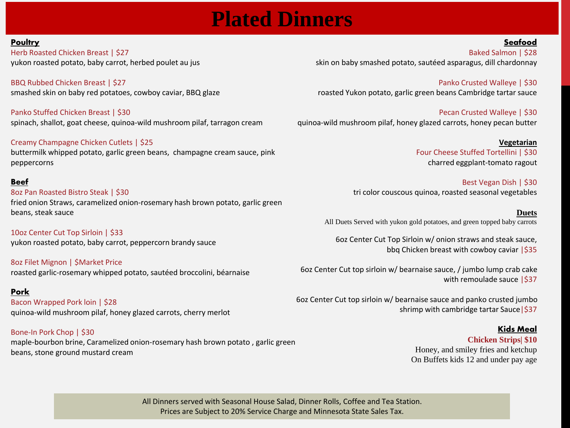# **Plated Dinners**

#### **Poultry**

Herb Roasted Chicken Breast | \$27 yukon roasted potato, baby carrot, herbed poulet au jus

BBQ Rubbed Chicken Breast | \$27 smashed skin on baby red potatoes, cowboy caviar, BBQ glaze

Panko Stuffed Chicken Breast | \$30 spinach, shallot, goat cheese, quinoa-wild mushroom pilaf, tarragon cream

Creamy Champagne Chicken Cutlets | \$25 buttermilk whipped potato, garlic green beans, champagne cream sauce, pink peppercorns

#### Beef

8oz Pan Roasted Bistro Steak | \$30 fried onion Straws, caramelized onion-rosemary hash brown potato, garlic green beans, steak sauce

10oz Center Cut Top Sirloin | \$33 yukon roasted potato, baby carrot, peppercorn brandy sauce

8oz Filet Mignon | \$Market Price roasted garlic-rosemary whipped potato, sautéed broccolini, béarnaise

Pork Bacon Wrapped Pork loin | \$28 quinoa-wild mushroom pilaf, honey glazed carrots, cherry merlot

Bone-In Pork Chop | \$30 maple-bourbon brine, Caramelized onion-rosemary hash brown potato , garlic green beans, stone ground mustard cream

Baked Salmon | \$28 skin on baby smashed potato, sautéed asparagus, dill chardonnay

Panko Crusted Walleye | \$30 roasted Yukon potato, garlic green beans Cambridge tartar sauce

Pecan Crusted Walleye | \$30 quinoa-wild mushroom pilaf, honey glazed carrots, honey pecan butter

> **Vegetarian** Four Cheese Stuffed Tortellini | \$30 charred eggplant-tomato ragout

Best Vegan Dish | \$30 tri color couscous quinoa, roasted seasonal vegetables

**Duets** All Duets Served with yukon gold potatoes, and green topped baby carrots

6oz Center Cut Top Sirloin w/ onion straws and steak sauce, bbq Chicken breast with cowboy caviar | \$35

6oz Center Cut top sirloin w/ bearnaise sauce, / jumbo lump crab cake with remoulade sauce  $|\$37$ 

6oz Center Cut top sirloin w/ bearnaise sauce and panko crusted jumbo shrimp with cambridge tartar Sauce | \$37

#### **Kids Meal**

Seafood

**Chicken Strips| \$10** Honey, and smiley fries and ketchup On Buffets kids 12 and under pay age

All Dinners served with Seasonal House Salad, Dinner Rolls, Coffee and Tea Station. Prices are Subject to 20% Service Charge and Minnesota State Sales Tax.